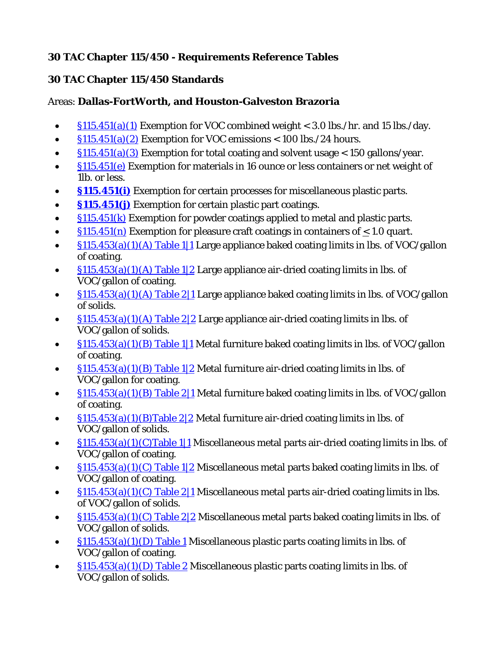## **30 TAC Chapter 115/450 - Requirements Reference Tables**

## **30 TAC Chapter 115/450 Standards**

## Areas: **Dallas-FortWorth, and Houston-Galveston Brazoria**

- $\S115.451(a)(1)$  Exemption for VOC combined weight < 3.0 lbs./hr. and 15 lbs./day.
- $\frac{\sin 5.451(a)(2)}{2}$  Exemption for VOC emissions < 100 lbs./24 hours.
- $\S115.451(a)(3)$  Exemption for total coating and solvent usage < 150 gallons/year.
- $\frac{\sin 451(e)}{e}$  Exemption for materials in 16 ounce or less containers or net weight of 1lb. or less.
- **[§115.451\(i\)](https://www.tceq.texas.gov/downloads/permitting/air-rules/state/30-tac-115/rreg5450.pdf#page=3)** Exemption for certain processes for miscellaneous plastic parts.
- **§115.451(j)** Exemption for certain plastic part coatings.
- $\frac{\sin 451(k)}{\sin 451(k)}$  Exemption for powder coatings applied to metal and plastic parts.
- $\frac{\sin 451(n)}{2}$  Exemption for pleasure craft coatings in containers of < 1.0 quart.
- $\frac{\sin 453(a)(1)(A) \text{ Table } 1}{1}$  Large appliance baked coating limits in lbs. of VOC/gallon of coating.
- $\frac{\sin 453(a)(1)(A) \text{ Table } 1/2}{2}$  Large appliance air-dried coating limits in lbs. of VOC/gallon of coating.
- $\S115.453(a)(1)(A)$  Table 2|1 Large appliance baked coating limits in lbs. of VOC/gallon of solids.
- $\S115.453(a)(1)(A)$  Table 2|2 Large appliance air-dried coating limits in lbs. of VOC/gallon of solids.
- $\S115.453(a)(1)(B)$  Table 1|1 Metal furniture baked coating limits in lbs. of VOC/gallon of coating.
- $$115.453(a)(1)(B)$  Table 1|2 Metal furniture air-dried coating limits in lbs. of VOC/gallon for coating.
- $\S115.453(a)(1)(B)$  Table 2|1 Metal furniture baked coating limits in lbs. of VOC/gallon of coating.
- [§115.453\(a\)\(1\)\(B\)Table 2|2](https://www.tceq.texas.gov/downloads/permitting/air-rules/state/30-tac-115/rreg5450.pdf#page=8) Metal furniture air-dried coating limits in lbs. of VOC/gallon of solids.
- [§115.453\(a\)\(1\)\(C\)Table 1|1](https://www.tceq.texas.gov/downloads/permitting/air-rules/state/30-tac-115/rreg5450.pdf#page=8) Miscellaneous metal parts air-dried coating limits in lbs. of VOC/gallon of coating.
- $\S115.453(a)(1)(C)$  Table 1|2 Miscellaneous metal parts baked coating limits in lbs. of VOC/gallon of coating.
- [§115.453\(a\)\(1\)\(C\) Table 2|1](https://www.tceq.texas.gov/downloads/permitting/air-rules/state/30-tac-115/rreg5450.pdf#page=9) Miscellaneous metal parts air-dried coating limits in lbs. of VOC/gallon of solids.
- $\frac{\sin 453(a)}{(1)(C)}$  Table 2|2 Miscellaneous metal parts baked coating limits in lbs. of VOC/gallon of solids.
- $\frac{\sin 453(a)}{1)}$  Table 1 Miscellaneous plastic parts coating limits in lbs. of VOC/gallon of coating.
- [§115.453\(a\)\(1\)\(D\) Table 2](https://www.tceq.texas.gov/downloads/permitting/air-rules/state/30-tac-115/rreg5450.pdf#page=11) Miscellaneous plastic parts coating limits in lbs. of VOC/gallon of solids.